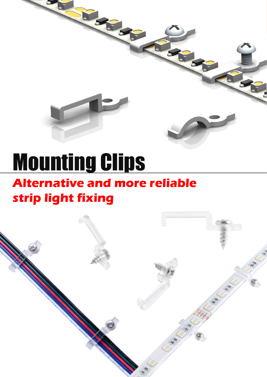# Mounting Clips

### **Alternative and more reliable strip light fixing**

*LED Strip Clip* Mounting Clips www.onlumi.com

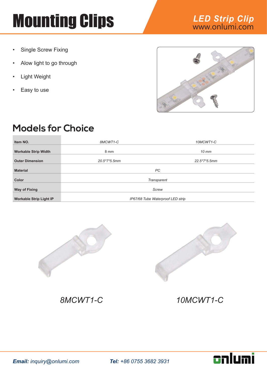- Single Screw Fixing
- Alow light to go through
- **Light Weight**
- Easy to use



#### **Models for Choice**

| Item NO.                       | 8MCWT1-C       | 10MCWT1-C                         |  |
|--------------------------------|----------------|-----------------------------------|--|
| <b>Workable Strip Width</b>    | 8 mm           | $10$ mm                           |  |
| <b>Outer Dimension</b>         | $20.5*7*5.5mm$ | $22.5*7*5.5mm$                    |  |
| <b>Material</b>                |                | PC                                |  |
| Color                          |                | Transparent                       |  |
| <b>Way of Fixing</b>           | Screw          |                                   |  |
| <b>Workable Strip Light IP</b> |                | IP67/68 Tube Waterproof LED strip |  |





*8MCWT1-C 10MCWT1-C*

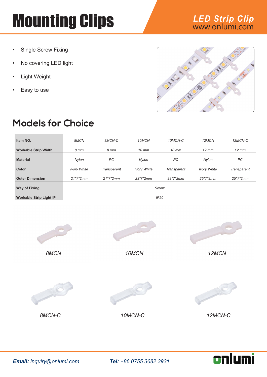- Single Screw Fixing
- No covering LED light
- **Light Weight**
- Easy to use





#### **Models for Choice**

| Item NO.                       | 8MCN               | 8MCN-C             | 10MCN              | 10MCN-C     | 12MCN              | 12MCN-C           |
|--------------------------------|--------------------|--------------------|--------------------|-------------|--------------------|-------------------|
| <b>Workable Strip Width</b>    | 8 mm               | 8 mm               | $10$ mm            | $10$ mm     | $12 \, \text{mm}$  | $12 \, \text{mm}$ |
| <b>Material</b>                | Nylon              | PC                 | Nylon              | PC          | Nylon              | PC                |
| Color                          | <b>Ivory White</b> | <b>Transparent</b> | <b>Ivory White</b> | Transparent | <b>Ivory White</b> | Transparent       |
| <b>Outer Dimension</b>         | $21*7*2mm$         | $21*7*2mm$         | $23*7*2mm$         | $23*7*2mm$  | $25*7*2mm$         | $25*7*2mm$        |
| <b>Way of Fixing</b>           | <b>Screw</b>       |                    |                    |             |                    |                   |
| <b>Workable Strip Light IP</b> | IP20               |                    |                    |             |                    |                   |



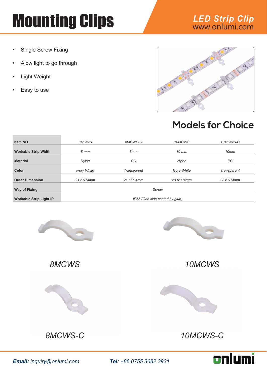- Single Screw Fixing
- Alow light to go through
- **Light Weight**
- Easy to use





#### **Models for Choice**

| Item NO.                       | 8MCWS                          | 8MCWS-C      | 10MCWS             | 10MCWS-C     |
|--------------------------------|--------------------------------|--------------|--------------------|--------------|
| <b>Workable Strip Width</b>    | 8 mm                           | 8mm          | $10$ mm            | 10mm         |
| <b>Material</b>                | Nylon                          | PC           | Nylon              | PC           |
| Color                          | <b>Ivory White</b>             | Transparent  | <b>Ivory White</b> | Transparent  |
| <b>Outer Dimension</b>         | $21.6*7*4mm$                   | $21.6*7*4mm$ | $23.6*7*4mm$       | $23.6*7*4mm$ |
| Way of Fixing                  | <b>Screw</b>                   |              |                    |              |
| <b>Workable Strip Light IP</b> | IP65 (One side coated by glue) |              |                    |              |







*8MCWS 10MCWS*







*Email: inquiry@onlumi.com Tel: +86 0755 3682 3931*